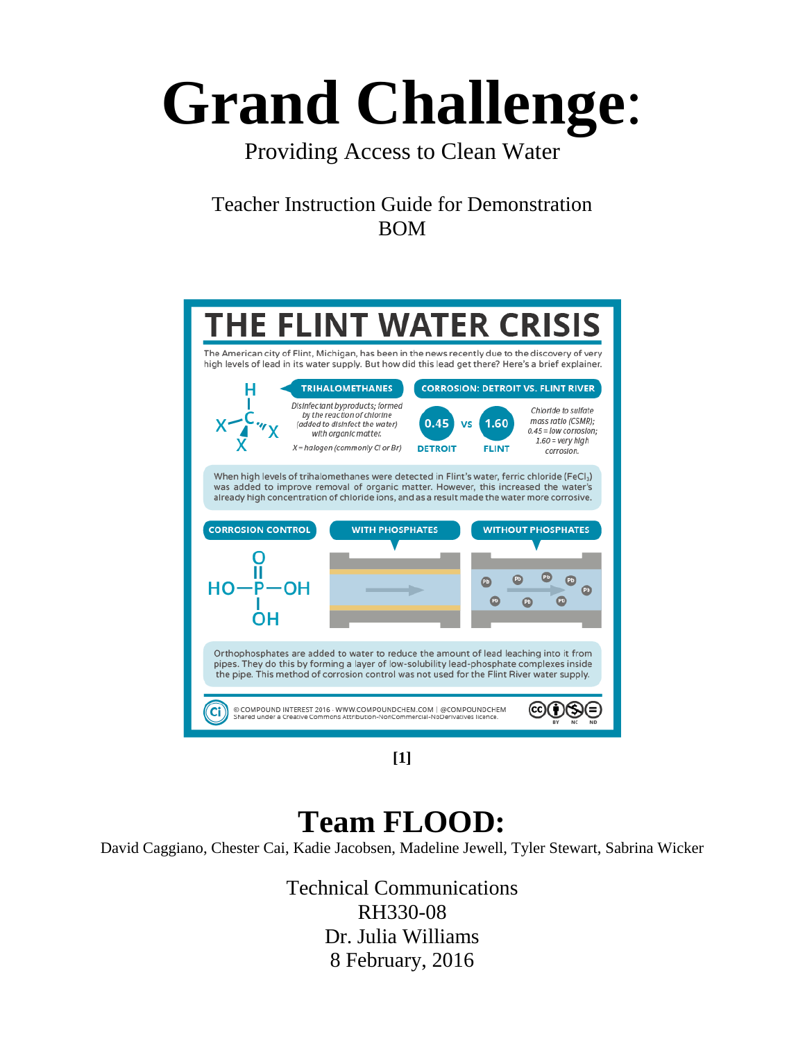# **Grand Challenge**:

### Providing Access to Clean Water

Teacher Instruction Guide for Demonstration BOM



**[1]**

## **Team FLOOD:**

David Caggiano, Chester Cai, Kadie Jacobsen, Madeline Jewell, Tyler Stewart, Sabrina Wicker

Technical Communications RH330-08 Dr. Julia Williams 8 February, 2016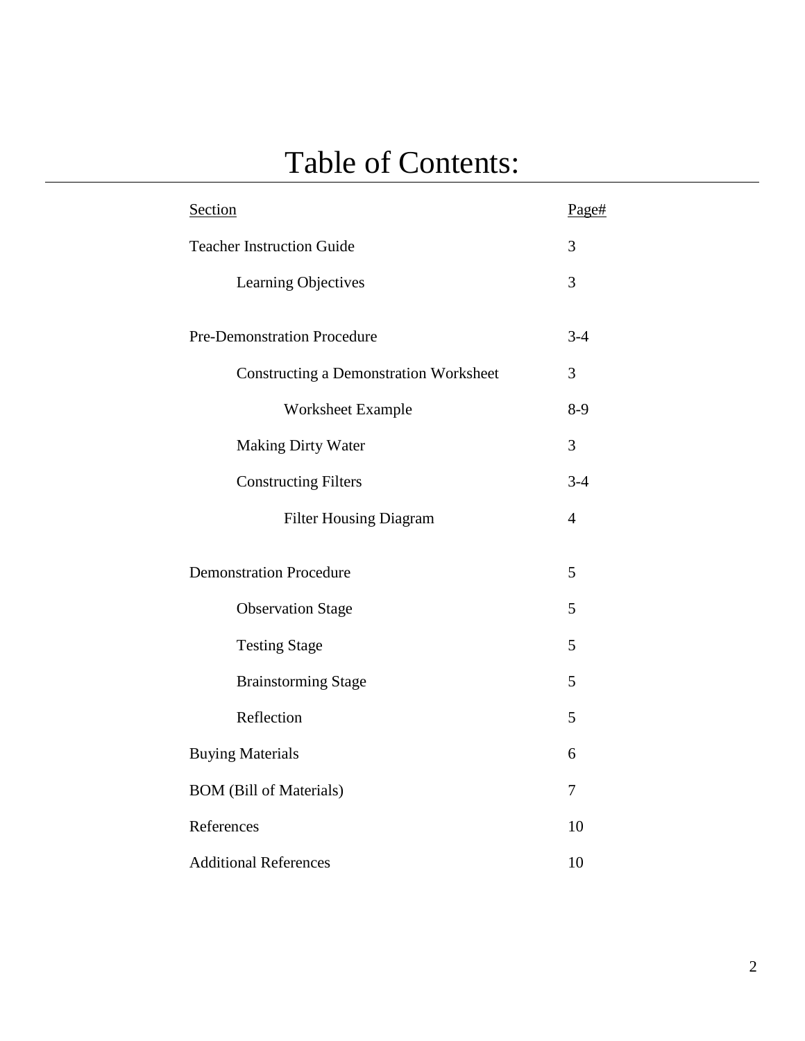## Table of Contents:

| Section                                       | Page#          |
|-----------------------------------------------|----------------|
| <b>Teacher Instruction Guide</b>              | $\overline{3}$ |
| Learning Objectives                           | $\overline{3}$ |
| Pre-Demonstration Procedure                   | $3 - 4$        |
| <b>Constructing a Demonstration Worksheet</b> | $\overline{3}$ |
| Worksheet Example                             | $8-9$          |
| <b>Making Dirty Water</b>                     | $\overline{3}$ |
| <b>Constructing Filters</b>                   | $3 - 4$        |
| <b>Filter Housing Diagram</b>                 | $\overline{4}$ |
| <b>Demonstration Procedure</b>                | 5              |
| <b>Observation Stage</b>                      | 5              |
| <b>Testing Stage</b>                          | 5              |
| <b>Brainstorming Stage</b>                    | 5              |
| Reflection                                    | 5              |
| <b>Buying Materials</b>                       | 6              |
| <b>BOM</b> (Bill of Materials)                | $\overline{7}$ |
| References                                    | 10             |
| <b>Additional References</b>                  | 10             |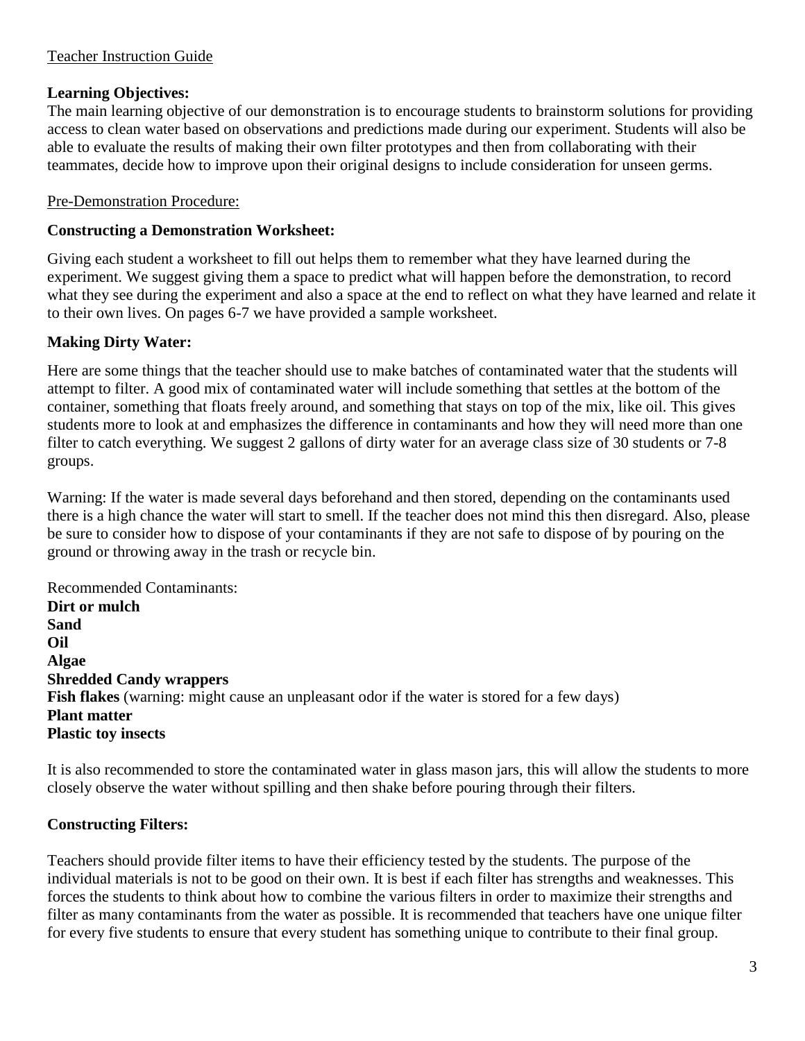#### Teacher Instruction Guide

#### **Learning Objectives:**

The main learning objective of our demonstration is to encourage students to brainstorm solutions for providing access to clean water based on observations and predictions made during our experiment. Students will also be able to evaluate the results of making their own filter prototypes and then from collaborating with their teammates, decide how to improve upon their original designs to include consideration for unseen germs.

#### Pre-Demonstration Procedure:

#### **Constructing a Demonstration Worksheet:**

Giving each student a worksheet to fill out helps them to remember what they have learned during the experiment. We suggest giving them a space to predict what will happen before the demonstration, to record what they see during the experiment and also a space at the end to reflect on what they have learned and relate it to their own lives. On pages 6-7 we have provided a sample worksheet.

#### **Making Dirty Water:**

Here are some things that the teacher should use to make batches of contaminated water that the students will attempt to filter. A good mix of contaminated water will include something that settles at the bottom of the container, something that floats freely around, and something that stays on top of the mix, like oil. This gives students more to look at and emphasizes the difference in contaminants and how they will need more than one filter to catch everything. We suggest 2 gallons of dirty water for an average class size of 30 students or 7-8 groups.

Warning: If the water is made several days beforehand and then stored, depending on the contaminants used there is a high chance the water will start to smell. If the teacher does not mind this then disregard. Also, please be sure to consider how to dispose of your contaminants if they are not safe to dispose of by pouring on the ground or throwing away in the trash or recycle bin.

Recommended Contaminants: **Dirt or mulch Sand Oil Algae Shredded Candy wrappers Fish flakes** (warning: might cause an unpleasant odor if the water is stored for a few days) **Plant matter Plastic toy insects**

It is also recommended to store the contaminated water in glass mason jars, this will allow the students to more closely observe the water without spilling and then shake before pouring through their filters.

#### **Constructing Filters:**

Teachers should provide filter items to have their efficiency tested by the students. The purpose of the individual materials is not to be good on their own. It is best if each filter has strengths and weaknesses. This forces the students to think about how to combine the various filters in order to maximize their strengths and filter as many contaminants from the water as possible. It is recommended that teachers have one unique filter for every five students to ensure that every student has something unique to contribute to their final group.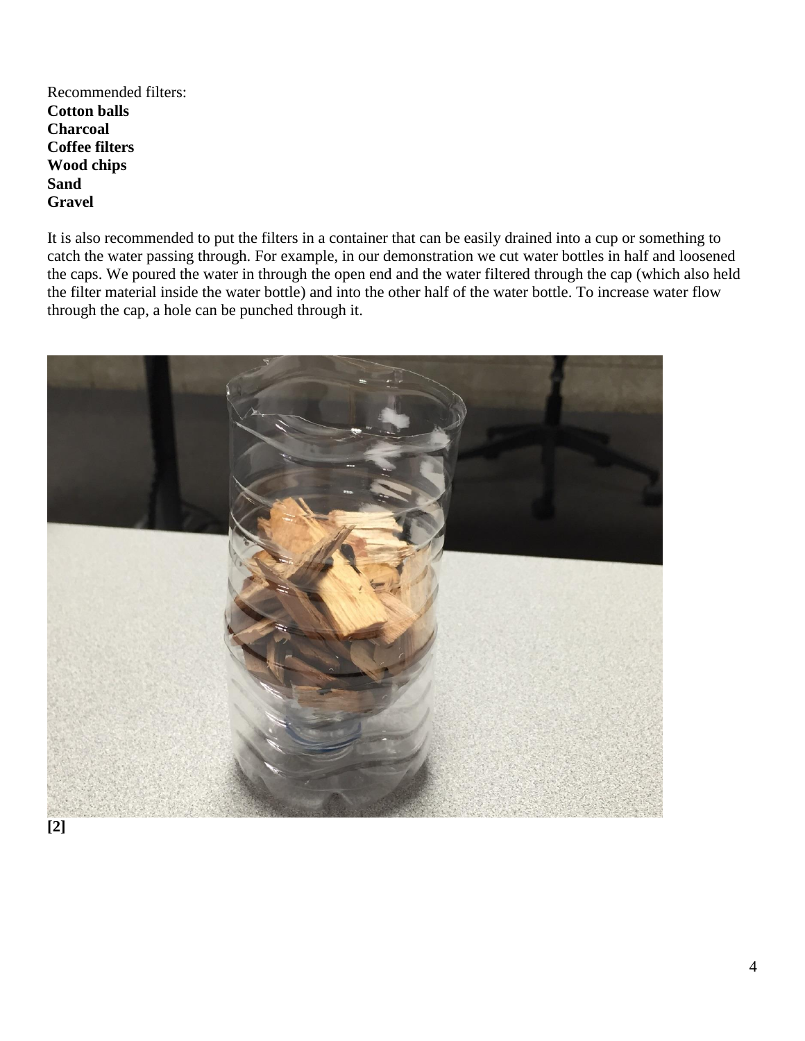Recommended filters: **Cotton balls Charcoal Coffee filters Wood chips Sand Gravel**

It is also recommended to put the filters in a container that can be easily drained into a cup or something to catch the water passing through. For example, in our demonstration we cut water bottles in half and loosened the caps. We poured the water in through the open end and the water filtered through the cap (which also held the filter material inside the water bottle) and into the other half of the water bottle. To increase water flow through the cap, a hole can be punched through it.

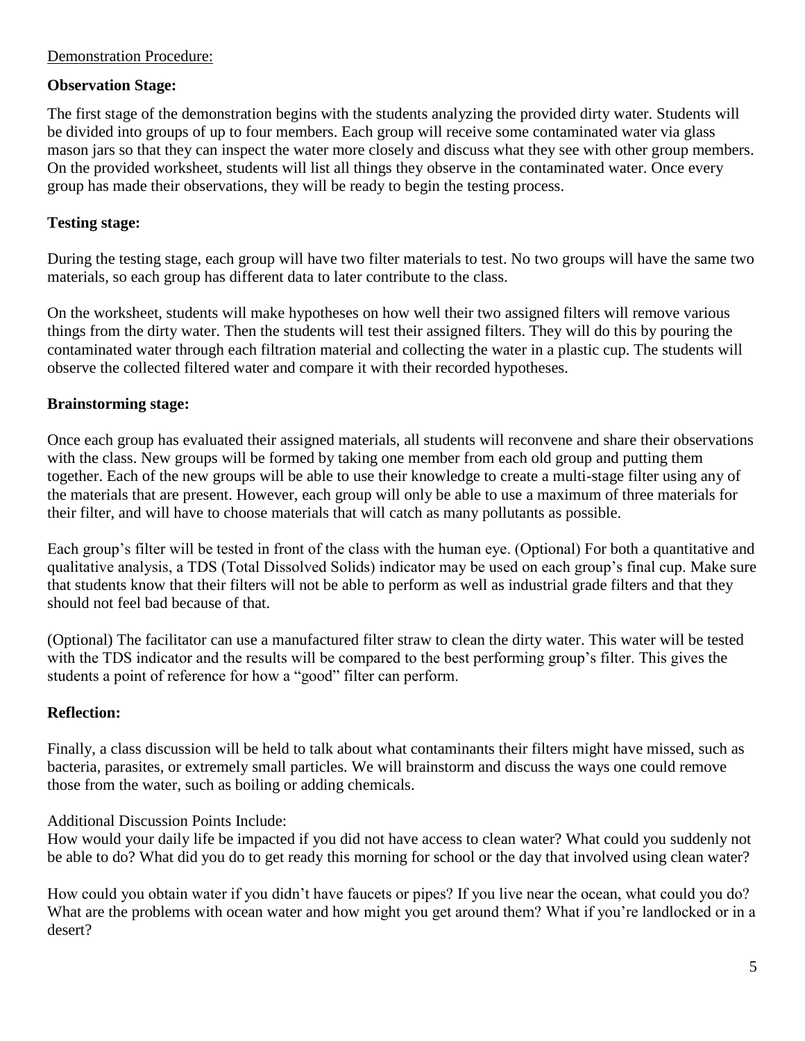#### Demonstration Procedure:

#### **Observation Stage:**

The first stage of the demonstration begins with the students analyzing the provided dirty water. Students will be divided into groups of up to four members. Each group will receive some contaminated water via glass mason jars so that they can inspect the water more closely and discuss what they see with other group members. On the provided worksheet, students will list all things they observe in the contaminated water. Once every group has made their observations, they will be ready to begin the testing process.

#### **Testing stage:**

During the testing stage, each group will have two filter materials to test. No two groups will have the same two materials, so each group has different data to later contribute to the class.

On the worksheet, students will make hypotheses on how well their two assigned filters will remove various things from the dirty water. Then the students will test their assigned filters. They will do this by pouring the contaminated water through each filtration material and collecting the water in a plastic cup. The students will observe the collected filtered water and compare it with their recorded hypotheses.

#### **Brainstorming stage:**

Once each group has evaluated their assigned materials, all students will reconvene and share their observations with the class. New groups will be formed by taking one member from each old group and putting them together. Each of the new groups will be able to use their knowledge to create a multi-stage filter using any of the materials that are present. However, each group will only be able to use a maximum of three materials for their filter, and will have to choose materials that will catch as many pollutants as possible.

Each group's filter will be tested in front of the class with the human eye. (Optional) For both a quantitative and qualitative analysis, a TDS (Total Dissolved Solids) indicator may be used on each group's final cup. Make sure that students know that their filters will not be able to perform as well as industrial grade filters and that they should not feel bad because of that.

(Optional) The facilitator can use a manufactured filter straw to clean the dirty water. This water will be tested with the TDS indicator and the results will be compared to the best performing group's filter. This gives the students a point of reference for how a "good" filter can perform.

#### **Reflection:**

Finally, a class discussion will be held to talk about what contaminants their filters might have missed, such as bacteria, parasites, or extremely small particles. We will brainstorm and discuss the ways one could remove those from the water, such as boiling or adding chemicals.

#### Additional Discussion Points Include:

How would your daily life be impacted if you did not have access to clean water? What could you suddenly not be able to do? What did you do to get ready this morning for school or the day that involved using clean water?

How could you obtain water if you didn't have faucets or pipes? If you live near the ocean, what could you do? What are the problems with ocean water and how might you get around them? What if you're landlocked or in a desert?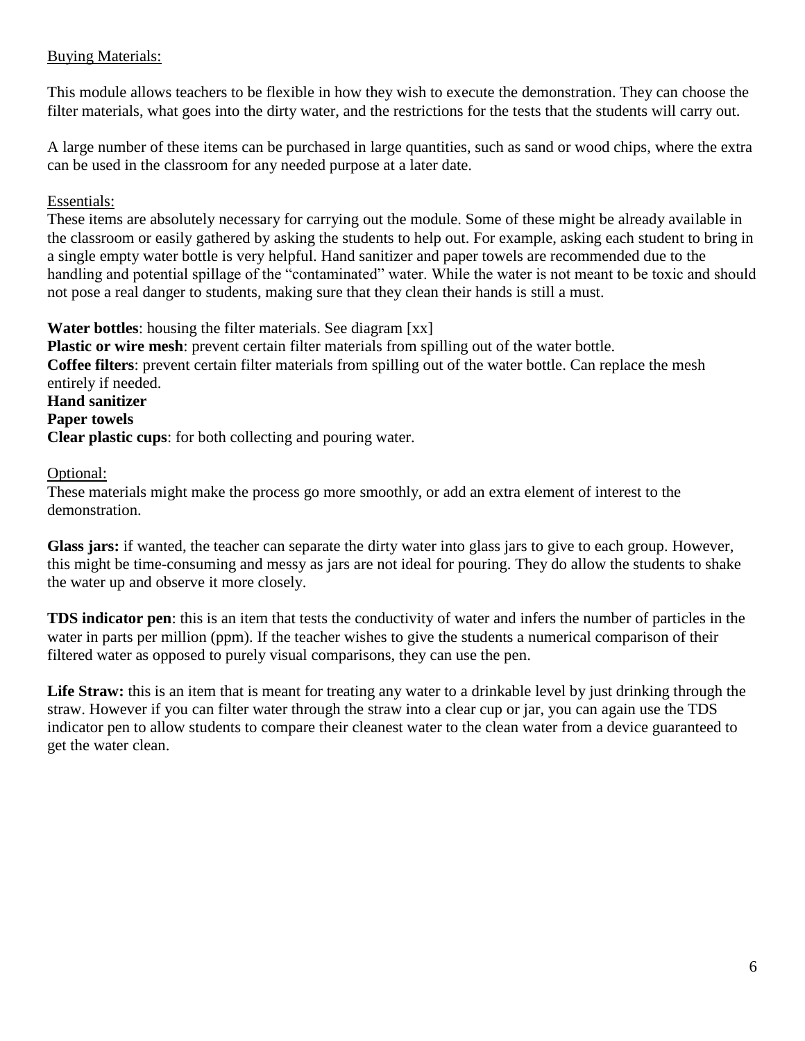#### Buying Materials:

This module allows teachers to be flexible in how they wish to execute the demonstration. They can choose the filter materials, what goes into the dirty water, and the restrictions for the tests that the students will carry out.

A large number of these items can be purchased in large quantities, such as sand or wood chips, where the extra can be used in the classroom for any needed purpose at a later date.

#### Essentials:

These items are absolutely necessary for carrying out the module. Some of these might be already available in the classroom or easily gathered by asking the students to help out. For example, asking each student to bring in a single empty water bottle is very helpful. Hand sanitizer and paper towels are recommended due to the handling and potential spillage of the "contaminated" water. While the water is not meant to be toxic and should not pose a real danger to students, making sure that they clean their hands is still a must.

**Water bottles**: housing the filter materials. See diagram [xx]

**Plastic or wire mesh**: prevent certain filter materials from spilling out of the water bottle. **Coffee filters**: prevent certain filter materials from spilling out of the water bottle. Can replace the mesh entirely if needed. **Hand sanitizer Paper towels**

**Clear plastic cups**: for both collecting and pouring water.

#### Optional:

These materials might make the process go more smoothly, or add an extra element of interest to the demonstration.

**Glass jars:** if wanted, the teacher can separate the dirty water into glass jars to give to each group. However, this might be time-consuming and messy as jars are not ideal for pouring. They do allow the students to shake the water up and observe it more closely.

**TDS indicator pen**: this is an item that tests the conductivity of water and infers the number of particles in the water in parts per million (ppm). If the teacher wishes to give the students a numerical comparison of their filtered water as opposed to purely visual comparisons, they can use the pen.

Life Straw: this is an item that is meant for treating any water to a drinkable level by just drinking through the straw. However if you can filter water through the straw into a clear cup or jar, you can again use the TDS indicator pen to allow students to compare their cleanest water to the clean water from a device guaranteed to get the water clean.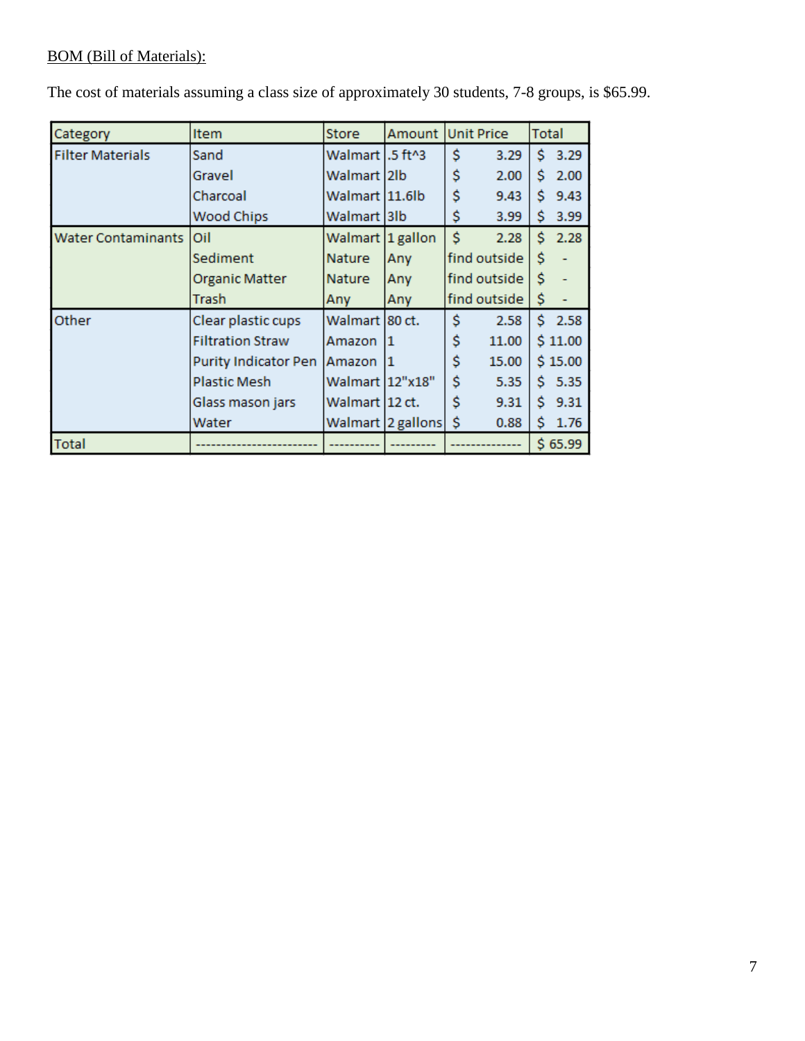#### BOM (Bill of Materials):

| Category                  | <b>Item</b>                 | Store             |                    | Amount Unit Price | Total |         |
|---------------------------|-----------------------------|-------------------|--------------------|-------------------|-------|---------|
| <b>Filter Materials</b>   | Sand                        | Walmart   .5 ft^3 |                    | Ś<br>3.29         | Ś.    | 3.29    |
|                           | Gravel                      | Walmart 2lb       |                    | \$<br>2.00        | Ś     | 2.00    |
|                           | Charcoal                    | Walmart 11.6lb    |                    | \$<br>9.43        | Ŝ.    | 9.43    |
|                           | <b>Wood Chips</b>           | Walmart  3lb      |                    | \$<br>3.99        | Ś     | 3.99    |
| <b>Water Contaminants</b> | Oil                         | Walmart 1 gallon  |                    | Ś<br>2.28         | Ś     | 2.28    |
|                           | Sediment                    | Nature            | Any                | find outside      | Ś     |         |
|                           | Organic Matter              | Nature            | Any                | find outside      | Ś     |         |
|                           | Trash                       | Any               | Any                | find outside      | \$    |         |
| Other                     | Clear plastic cups          | Walmart  80 ct.   |                    | Ś<br>2.58         | Ś.    | 2.58    |
|                           | <b>Filtration Straw</b>     | Amazon            | 11                 | \$<br>11.00       |       | \$11.00 |
|                           | <b>Purity Indicator Pen</b> | Amazon            | 11                 | \$<br>15.00       |       | \$15.00 |
|                           | <b>Plastic Mesh</b>         | Walmart 12"x18"   |                    | Ś<br>5.35         | Ś.    | 5.35    |
|                           | Glass mason jars            | Walmart  12 ct.   |                    | Ś<br>9.31         | Ŝ.    | 9.31    |
|                           | Water                       |                   | Walmart  2 gallons | Ŝ<br>0.88         | \$    | 1.76    |
| <b>Total</b>              |                             |                   |                    |                   |       | \$65.99 |

The cost of materials assuming a class size of approximately 30 students, 7-8 groups, is \$65.99.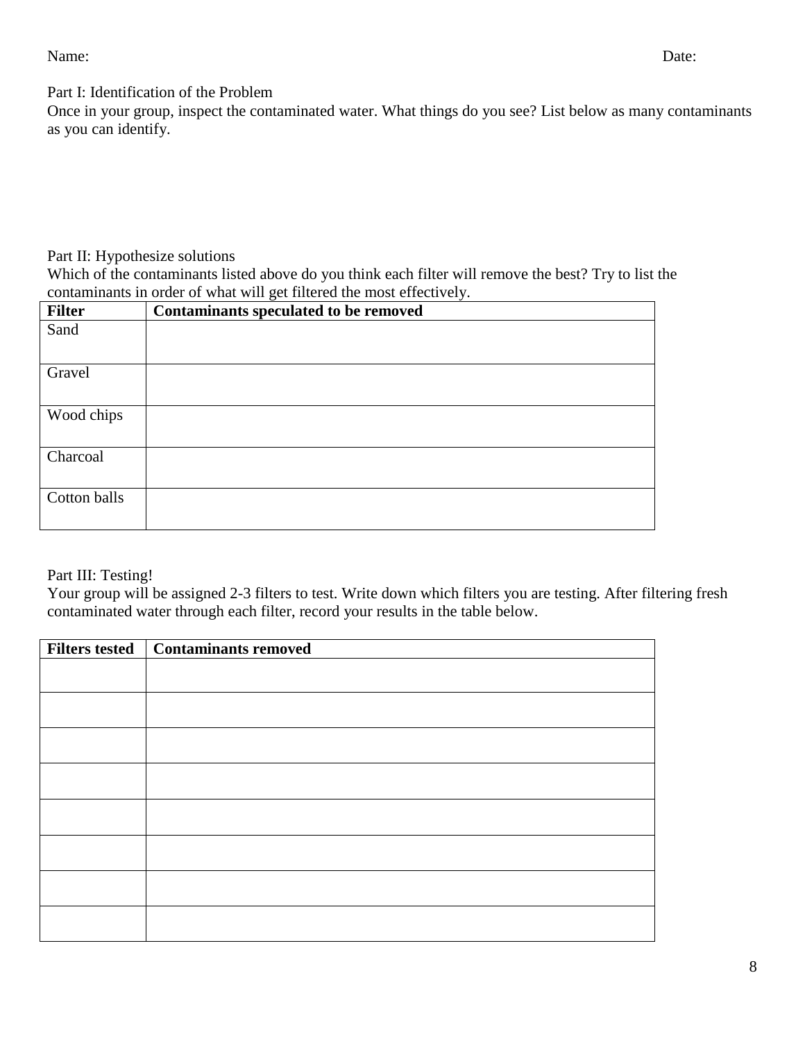Name: Date:

Part I: Identification of the Problem

Once in your group, inspect the contaminated water. What things do you see? List below as many contaminants as you can identify.

#### Part II: Hypothesize solutions

Which of the contaminants listed above do you think each filter will remove the best? Try to list the contaminants in order of what will get filtered the most effectively.

| <b>Filter</b> | ັ<br>$\checkmark$<br>Contaminants speculated to be removed |
|---------------|------------------------------------------------------------|
| Sand          |                                                            |
|               |                                                            |
| Gravel        |                                                            |
|               |                                                            |
| Wood chips    |                                                            |
|               |                                                            |
| Charcoal      |                                                            |
|               |                                                            |
| Cotton balls  |                                                            |
|               |                                                            |

#### Part III: Testing!

Your group will be assigned 2-3 filters to test. Write down which filters you are testing. After filtering fresh contaminated water through each filter, record your results in the table below.

| Filters tested | <b>Contaminants removed</b> |
|----------------|-----------------------------|
|                |                             |
|                |                             |
|                |                             |
|                |                             |
|                |                             |
|                |                             |
|                |                             |
|                |                             |
|                |                             |
|                |                             |
|                |                             |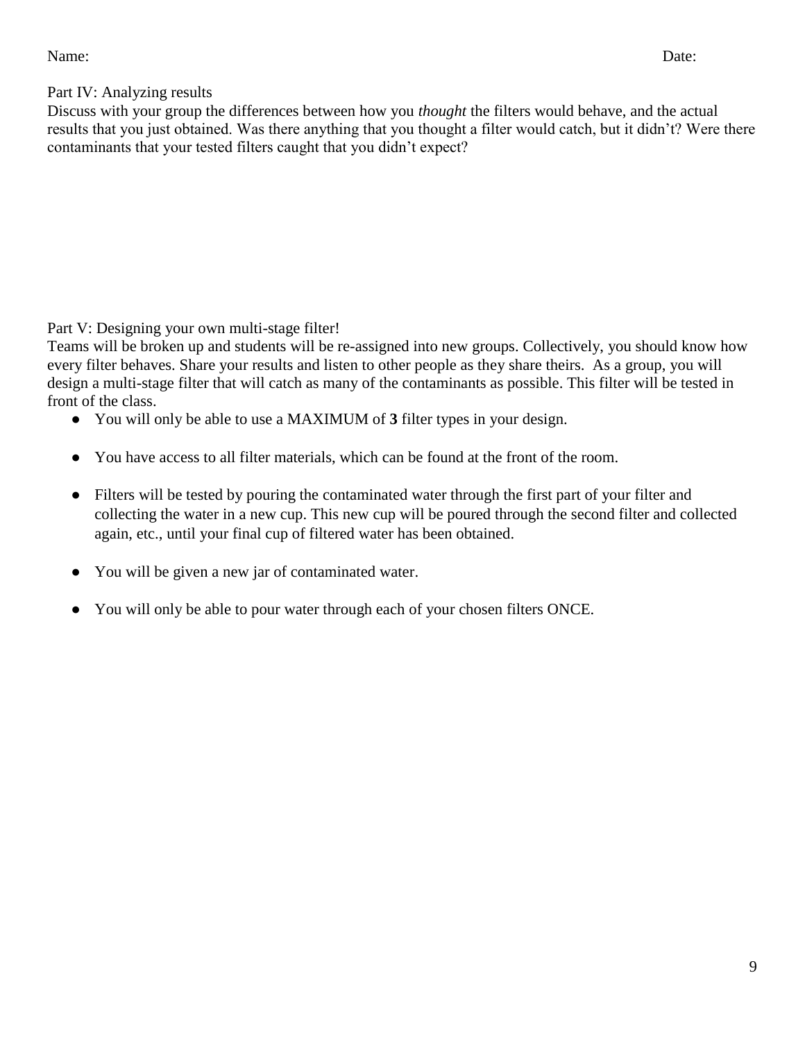#### Name: Date:

#### Part IV: Analyzing results

Discuss with your group the differences between how you *thought* the filters would behave, and the actual results that you just obtained. Was there anything that you thought a filter would catch, but it didn't? Were there contaminants that your tested filters caught that you didn't expect?

Part V: Designing your own multi-stage filter!

Teams will be broken up and students will be re-assigned into new groups. Collectively, you should know how every filter behaves. Share your results and listen to other people as they share theirs. As a group, you will design a multi-stage filter that will catch as many of the contaminants as possible. This filter will be tested in front of the class.

- You will only be able to use a MAXIMUM of **3** filter types in your design.
- You have access to all filter materials, which can be found at the front of the room.
- Filters will be tested by pouring the contaminated water through the first part of your filter and collecting the water in a new cup. This new cup will be poured through the second filter and collected again, etc., until your final cup of filtered water has been obtained.
- You will be given a new jar of contaminated water.
- You will only be able to pour water through each of your chosen filters ONCE.